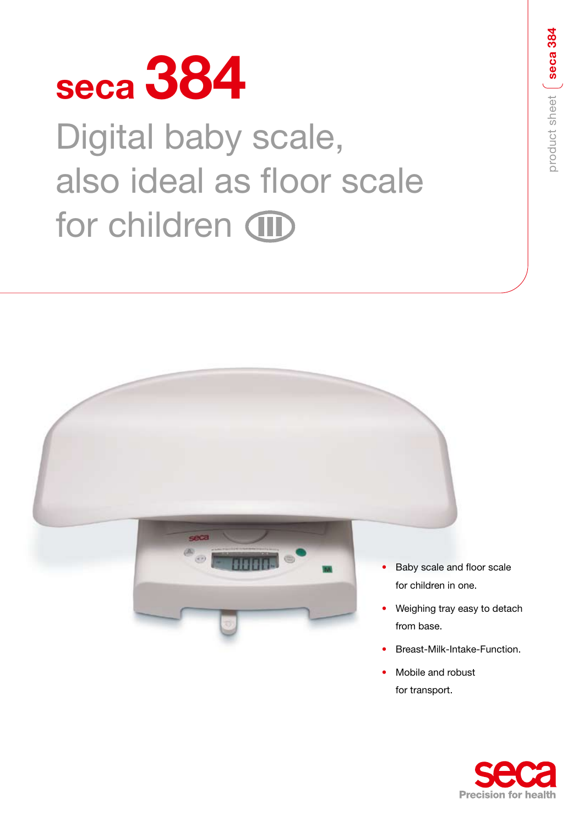

# Digital baby scale, also ideal as floor scale for children (III)



- Baby scale and floor scale for children in one.
- Weighing tray easy to detach from base.
- Breast-Milk-Intake-Function.
- Mobile and robust for transport.